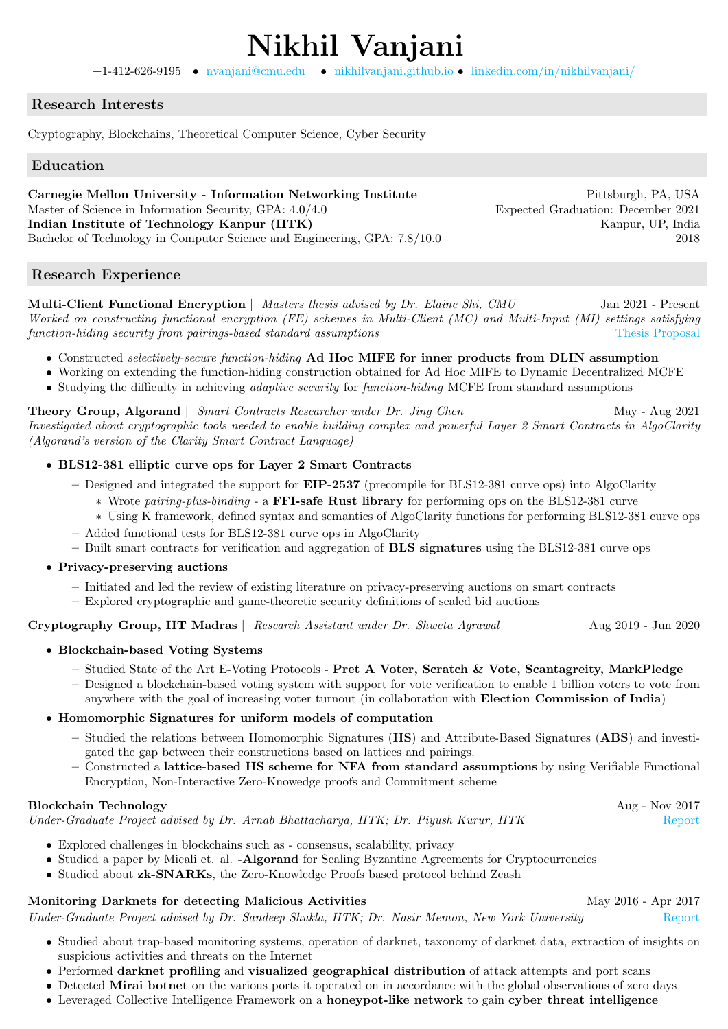# Nikhil Vanjani +1-412-626-9195 • [nvanjani@cmu.edu](mailto:nvanjani@cmu.com ) • [nikhilvanjani.github.io](https://nikhilvanjani.github.io) • [linkedin.com/in/nikhilvanjani/](https://www.linkedin.com/in/nikhilvanjani/)

## Research Interests

Cryptography, Blockchains, Theoretical Computer Science, Cyber Security

## Education

Carnegie Mellon University - Information Networking Institute Pittsburgh, PA, USA Master of Science in Information Security, GPA:  $4.0/4.0$  Expected Graduation: December 2021 Indian Institute of Technology Kanpur (IITK) Kanpur, UP, India Bachelor of Technology in Computer Science and Engineering, GPA: 7.8/10.0 2018

## Research Experience

Multi-Client Functional Encryption | Masters thesis advised by Dr. Elaine Shi, CMU Jan 2021 - Present Worked on constructing functional encryption (FE) schemes in Multi-Client (MC) and Multi-Input (MI) settings satisfying function-hiding security from pairings-based standard assumptions [Thesis Proposal](https://drive.google.com/file/d/1vudmHgfLy00N85m4OEc19uBHh01b4uWu/view?usp=sharing)

- Constructed selectively-secure function-hiding Ad Hoc MIFE for inner products from DLIN assumption
- Working on extending the function-hiding construction obtained for Ad Hoc MIFE to Dynamic Decentralized MCFE
- Studying the difficulty in achieving *adaptive security* for *function-hiding* MCFE from standard assumptions

Theory Group, Algorand | Smart Contracts Researcher under Dr. Jing Chen May - Aug 2021 Investigated about cryptographic tools needed to enable building complex and powerful Layer 2 Smart Contracts in AlgoClarity (Algorand's version of the Clarity Smart Contract Language)

## • BLS12-381 elliptic curve ops for Layer 2 Smart Contracts

- Designed and integrated the support for EIP-2537 (precompile for BLS12-381 curve ops) into AlgoClarity
	- ∗ Wrote pairing-plus-binding a FFI-safe Rust library for performing ops on the BLS12-381 curve
	- ∗ Using K framework, defined syntax and semantics of AlgoClarity functions for performing BLS12-381 curve ops
- Added functional tests for BLS12-381 curve ops in AlgoClarity
- Built smart contracts for verification and aggregation of **BLS signatures** using the BLS12-381 curve ops

## • Privacy-preserving auctions

- Initiated and led the review of existing literature on privacy-preserving auctions on smart contracts
- Explored cryptographic and game-theoretic security definitions of sealed bid auctions

Cryptography Group, IIT Madras | Research Assistant under Dr. Shweta Agrawal Aug 2019 - Jun 2020

## • Blockchain-based Voting Systems

– Studied State of the Art E-Voting Protocols - Pret A Voter, Scratch & Vote, Scantagreity, MarkPledge – Designed a blockchain-based voting system with support for vote verification to enable 1 billion voters to vote from anywhere with the goal of increasing voter turnout (in collaboration with Election Commission of India)

## • Homomorphic Signatures for uniform models of computation

- Studied the relations between Homomorphic Signatures (HS) and Attribute-Based Signatures (ABS) and investigated the gap between their constructions based on lattices and pairings.
- Constructed a lattice-based HS scheme for NFA from standard assumptions by using Verifiable Functional Encryption, Non-Interactive Zero-Knowedge proofs and Commitment scheme

## Blockchain Technology **Aug - Nov 2017**

Under-Graduate Project advised by Dr. Arnab Bhattacharya, IITK; Dr. Piyush Kurur, IITK [Report](https://drive.google.com/open?id=1WHqvZ9Ea796uvyCqjfNkggy5RI3fFd_I)

- Explored challenges in blockchains such as consensus, scalability, privacy
- Studied a paper by Micali et. al. -Algorand for Scaling Byzantine Agreements for Cryptocurrencies
- Studied about **zk-SNARKs**, the Zero-Knowledge Proofs based protocol behind Zcash

# Monitoring Darknets for detecting Malicious Activities May 2016 - Apr 2017

Under-Graduate Project advised by Dr. Sandeep Shukla, IITK; Dr. Nasir Memon, New York University [Report](https://drive.google.com/open?id=15TKTdf1hAbdq-CdfIw76ndYfTl3bSC7C)

- Studied about trap-based monitoring systems, operation of darknet, taxonomy of darknet data, extraction of insights on suspicious activities and threats on the Internet
- Performed darknet profiling and visualized geographical distribution of attack attempts and port scans
- Detected Mirai botnet on the various ports it operated on in accordance with the global observations of zero days
- Leveraged Collective Intelligence Framework on a honeypot-like network to gain cyber threat intelligence